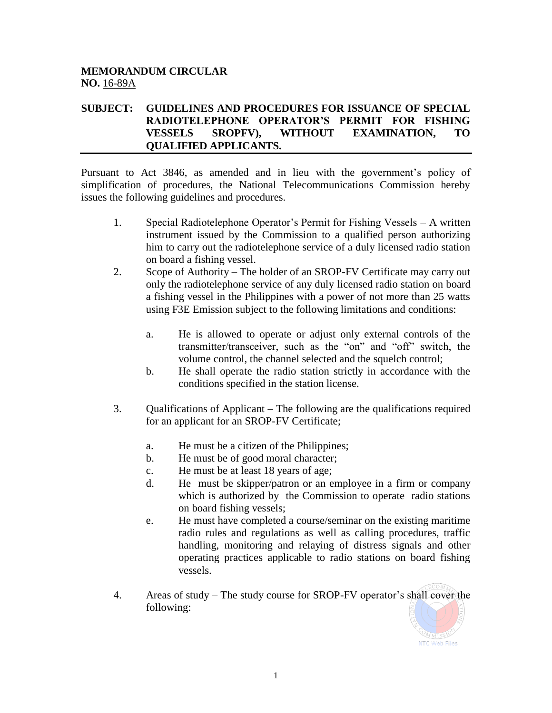## **MEMORANDUM CIRCULAR NO.** 16-89A

## **SUBJECT: GUIDELINES AND PROCEDURES FOR ISSUANCE OF SPECIAL RADIOTELEPHONE OPERATOR'S PERMIT FOR FISHING VESSELS SROPFV), WITHOUT EXAMINATION, TO QUALIFIED APPLICANTS.**

Pursuant to Act 3846, as amended and in lieu with the government's policy of simplification of procedures, the National Telecommunications Commission hereby issues the following guidelines and procedures.

- 1. Special Radiotelephone Operator's Permit for Fishing Vessels A written instrument issued by the Commission to a qualified person authorizing him to carry out the radiotelephone service of a duly licensed radio station on board a fishing vessel.
- 2. Scope of Authority The holder of an SROP-FV Certificate may carry out only the radiotelephone service of any duly licensed radio station on board a fishing vessel in the Philippines with a power of not more than 25 watts using F3E Emission subject to the following limitations and conditions:
	- a. He is allowed to operate or adjust only external controls of the transmitter/transceiver, such as the "on" and "off" switch, the volume control, the channel selected and the squelch control;
	- b. He shall operate the radio station strictly in accordance with the conditions specified in the station license.
- 3. Qualifications of Applicant The following are the qualifications required for an applicant for an SROP-FV Certificate;
	- a. He must be a citizen of the Philippines;
	- b. He must be of good moral character;
	- c. He must be at least 18 years of age;
	- d. He must be skipper/patron or an employee in a firm or company which is authorized by the Commission to operate radio stations on board fishing vessels;
	- e. He must have completed a course/seminar on the existing maritime radio rules and regulations as well as calling procedures, traffic handling, monitoring and relaying of distress signals and other operating practices applicable to radio stations on board fishing vessels.
- 4. Areas of study The study course for SROP-FV operator's shall cover the following:

1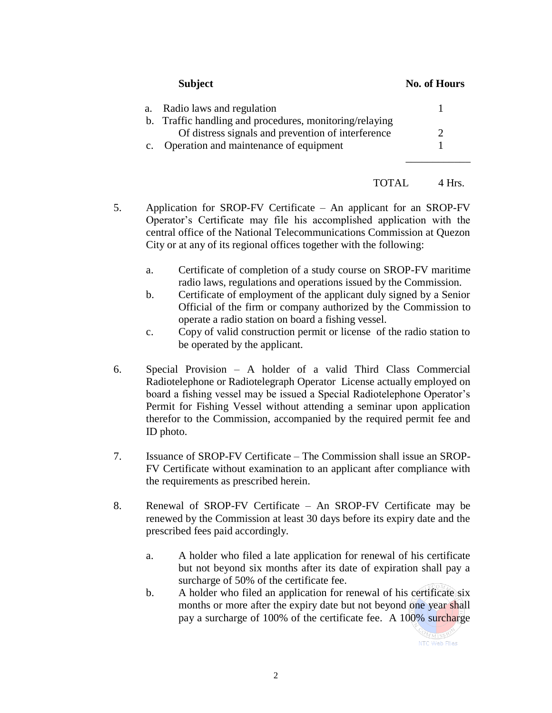**Subject No. of Hours**

| a. Radio laws and regulation                            |  |
|---------------------------------------------------------|--|
| b. Traffic handling and procedures, monitoring/relaying |  |
| Of distress signals and prevention of interference      |  |
| c. Operation and maintenance of equipment               |  |

TOTAL 4 Hrs.

- 5. Application for SROP-FV Certificate An applicant for an SROP-FV Operator's Certificate may file his accomplished application with the central office of the National Telecommunications Commission at Quezon City or at any of its regional offices together with the following:
	- a. Certificate of completion of a study course on SROP-FV maritime radio laws, regulations and operations issued by the Commission.
	- b. Certificate of employment of the applicant duly signed by a Senior Official of the firm or company authorized by the Commission to operate a radio station on board a fishing vessel.
	- c. Copy of valid construction permit or license of the radio station to be operated by the applicant.
- 6. Special Provision A holder of a valid Third Class Commercial Radiotelephone or Radiotelegraph Operator License actually employed on board a fishing vessel may be issued a Special Radiotelephone Operator's Permit for Fishing Vessel without attending a seminar upon application therefor to the Commission, accompanied by the required permit fee and ID photo.
- 7. Issuance of SROP-FV Certificate The Commission shall issue an SROP-FV Certificate without examination to an applicant after compliance with the requirements as prescribed herein.
- 8. Renewal of SROP-FV Certificate An SROP-FV Certificate may be renewed by the Commission at least 30 days before its expiry date and the prescribed fees paid accordingly.
	- a. A holder who filed a late application for renewal of his certificate but not beyond six months after its date of expiration shall pay a surcharge of 50% of the certificate fee.
	- b. A holder who filed an application for renewal of his certificate six months or more after the expiry date but not beyond one year shall pay a surcharge of 100% of the certificate fee. A 100% surcharge